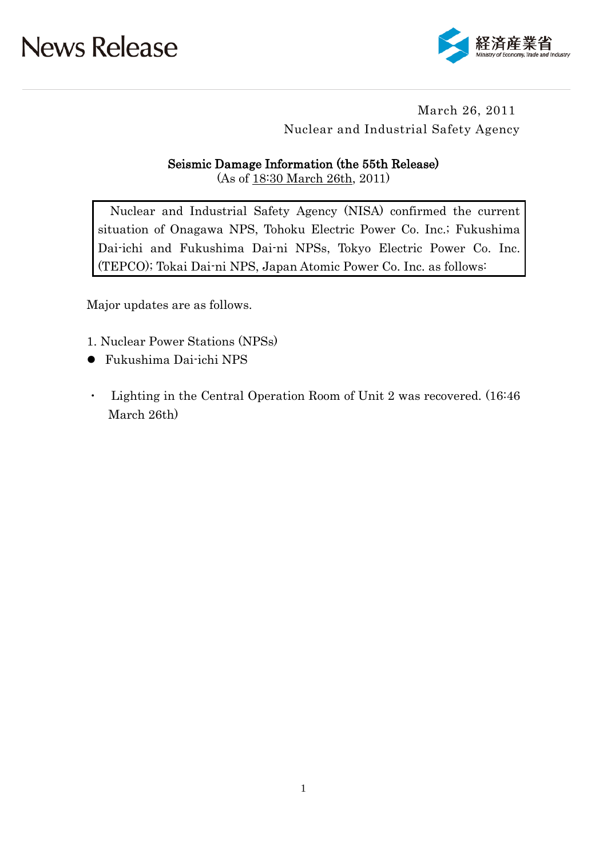

### March 26, 2011 Nuclear and Industrial Safety Agency

#### Seismic Damage Information (the 55th Release)

(As of 18:30 March 26th, 2011)

Nuclear and Industrial Safety Agency (NISA) confirmed the current situation of Onagawa NPS, Tohoku Electric Power Co. Inc.; Fukushima Dai-ichi and Fukushima Dai-ni NPSs, Tokyo Electric Power Co. Inc. (TEPCO); Tokai Dai-ni NPS, Japan Atomic Power Co. Inc. as follows:

Major updates are as follows.

- 1. Nuclear Power Stations (NPSs)
- Fukushima Dai-ichi NPS
- ・ Lighting in the Central Operation Room of Unit 2 was recovered. (16:46 March 26th)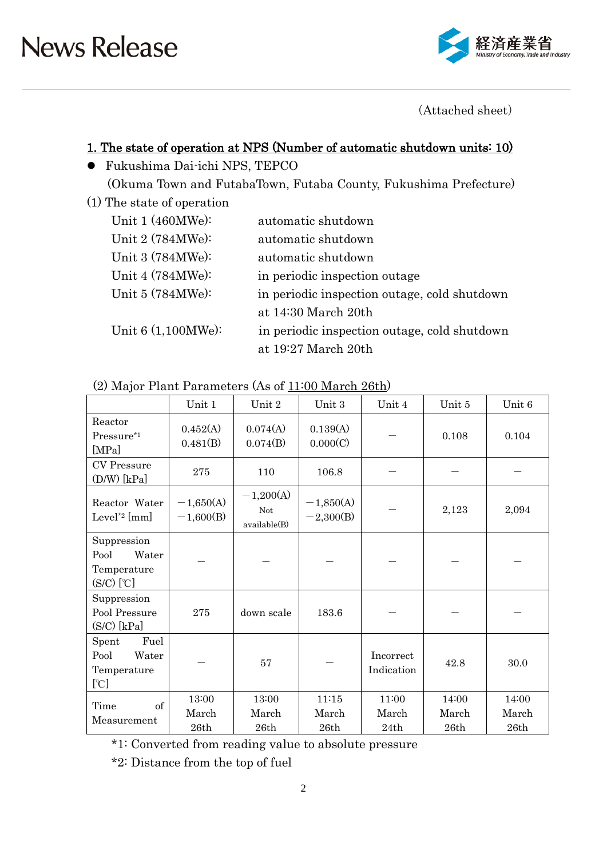

(Attached sheet)

### 1. The state of operation at NPS (Number of automatic shutdown units: 10)

- Fukushima Dai-ichi NPS, TEPCO (Okuma Town and FutabaTown, Futaba County, Fukushima Prefecture)
- (1) The state of operation

| Unit $1(460MWe):$    | automatic shutdown                           |
|----------------------|----------------------------------------------|
| Unit 2 (784MWe):     | automatic shutdown                           |
| Unit 3 (784MWe):     | automatic shutdown                           |
| Unit 4 (784MWe):     | in periodic inspection outage                |
| Unit $5(784MWe):$    | in periodic inspection outage, cold shutdown |
|                      | at $14:30$ March $20th$                      |
| Unit $6(1,100MWe)$ : | in periodic inspection outage, cold shutdown |
|                      | at 19:27 March 20th                          |

(2) Major Plant Parameters (As of 11:00 March 26th)

|                                                             | Unit 1                     | Unit 2                                    | Unit 3                     | Unit 4                  | Unit 5                 | Unit 6                 |
|-------------------------------------------------------------|----------------------------|-------------------------------------------|----------------------------|-------------------------|------------------------|------------------------|
| Reactor<br>0.452(A)<br>Pressure*1<br>0.481(B)<br>[MPa]      |                            | 0.074(A)<br>0.074(B)                      | 0.139(A)<br>0.000(C)       |                         |                        | 0.104                  |
| <b>CV</b> Pressure<br>$(D/W)$ [kPa]                         | 275                        | 110                                       | 106.8                      |                         |                        |                        |
| Reactor Water<br>Level <sup>*2</sup> [mm]                   | $-1,650(A)$<br>$-1,600(B)$ | $-1,200(A)$<br><b>Not</b><br>available(B) | $-1,850(A)$<br>$-2,300(B)$ |                         | 2,123                  | 2,094                  |
| Suppression<br>Pool<br>Water<br>Temperature<br>$(S/C)$ [°C] |                            |                                           |                            |                         |                        |                        |
| Suppression<br>Pool Pressure<br>$(S/C)$ [kPa]               | 275<br>down scale          |                                           | 183.6                      |                         |                        |                        |
| Fuel<br>Spent<br>Pool<br>Water<br>Temperature<br>[°C]       | 57                         |                                           |                            | Incorrect<br>Indication | 42.8                   | 30.0                   |
| of<br>Time<br>Measurement                                   | 13:00<br>March<br>26th     | 13:00<br>March<br>26th                    | 11:15<br>March<br>26th     | 11:00<br>March<br>24th  | 14:00<br>March<br>26th | 14:00<br>March<br>26th |

\*1: Converted from reading value to absolute pressure

\*2: Distance from the top of fuel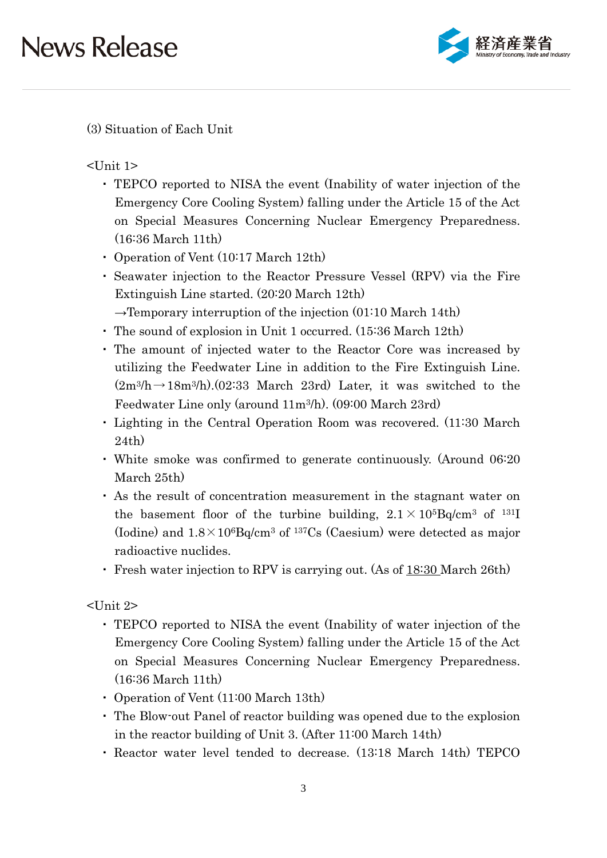

(3) Situation of Each Unit

 $\langle$ Unit 1>

- ・ TEPCO reported to NISA the event (Inability of water injection of the Emergency Core Cooling System) falling under the Article 15 of the Act on Special Measures Concerning Nuclear Emergency Preparedness. (16:36 March 11th)
- ・ Operation of Vent (10:17 March 12th)
- ・ Seawater injection to the Reactor Pressure Vessel (RPV) via the Fire Extinguish Line started. (20:20 March 12th)
- $\rightarrow$ Temporary interruption of the injection (01:10 March 14th)
- ・ The sound of explosion in Unit 1 occurred. (15:36 March 12th)
- ・ The amount of injected water to the Reactor Core was increased by utilizing the Feedwater Line in addition to the Fire Extinguish Line.  $(2m^3/h \rightarrow 18m^3/h)$ . (02:33 March 23rd) Later, it was switched to the Feedwater Line only (around 11m3/h). (09:00 March 23rd)
- ・ Lighting in the Central Operation Room was recovered. (11:30 March 24th)
- ・ White smoke was confirmed to generate continuously. (Around 06:20 March 25th)
- ・ As the result of concentration measurement in the stagnant water on the basement floor of the turbine building,  $2.1 \times 10^{5}$ Bq/cm<sup>3</sup> of <sup>131</sup>I (Iodine) and  $1.8 \times 10^6$ Bq/cm<sup>3</sup> of <sup>137</sup>Cs (Caesium) were detected as major radioactive nuclides.
- ・ Fresh water injection to RPV is carrying out. (As of 18:30 March 26th)

<Unit 2>

- ・ TEPCO reported to NISA the event (Inability of water injection of the Emergency Core Cooling System) falling under the Article 15 of the Act on Special Measures Concerning Nuclear Emergency Preparedness. (16:36 March 11th)
- ・ Operation of Vent (11:00 March 13th)
- ・ The Blow-out Panel of reactor building was opened due to the explosion in the reactor building of Unit 3. (After 11:00 March 14th)
- ・ Reactor water level tended to decrease. (13:18 March 14th) TEPCO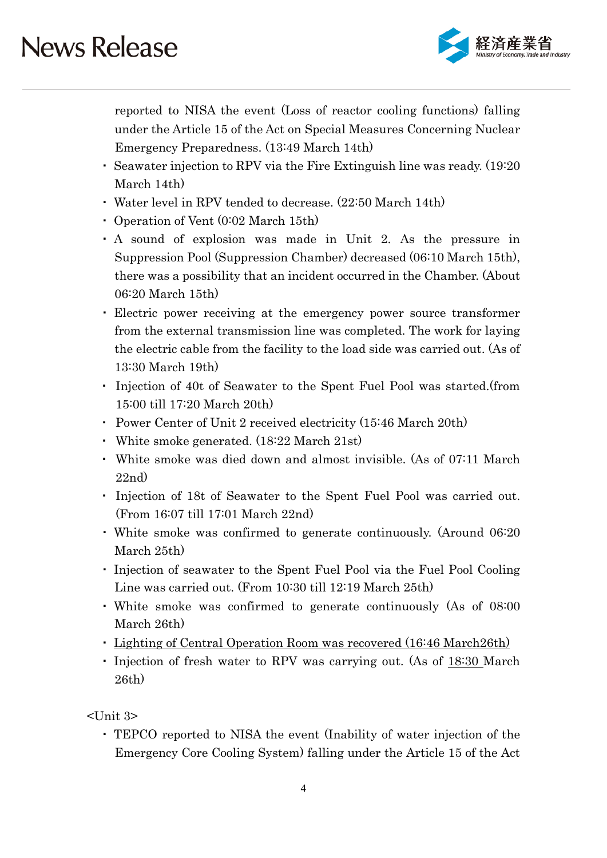

reported to NISA the event (Loss of reactor cooling functions) falling under the Article 15 of the Act on Special Measures Concerning Nuclear Emergency Preparedness. (13:49 March 14th)

- ・ Seawater injection to RPV via the Fire Extinguish line was ready. (19:20 March 14th)
- ・ Water level in RPV tended to decrease. (22:50 March 14th)
- ・ Operation of Vent (0:02 March 15th)
- ・ A sound of explosion was made in Unit 2. As the pressure in Suppression Pool (Suppression Chamber) decreased (06:10 March 15th), there was a possibility that an incident occurred in the Chamber. (About 06:20 March 15th)
- ・ Electric power receiving at the emergency power source transformer from the external transmission line was completed. The work for laying the electric cable from the facility to the load side was carried out. (As of 13:30 March 19th)
- ・ Injection of 40t of Seawater to the Spent Fuel Pool was started.(from 15:00 till 17:20 March 20th)
- ・ Power Center of Unit 2 received electricity (15:46 March 20th)
- ・ White smoke generated. (18:22 March 21st)
- ・ White smoke was died down and almost invisible. (As of 07:11 March 22nd)
- ・ Injection of 18t of Seawater to the Spent Fuel Pool was carried out. (From 16:07 till 17:01 March 22nd)
- ・ White smoke was confirmed to generate continuously. (Around 06:20 March 25th)
- ・ Injection of seawater to the Spent Fuel Pool via the Fuel Pool Cooling Line was carried out. (From 10:30 till 12:19 March 25th)
- ・ White smoke was confirmed to generate continuously (As of 08:00 March 26th)
- ・ Lighting of Central Operation Room was recovered (16:46 March26th)
- Injection of fresh water to RPV was carrying out. (As of 18:30 March 26th)

 $\langle$ Unit 3>

・ TEPCO reported to NISA the event (Inability of water injection of the Emergency Core Cooling System) falling under the Article 15 of the Act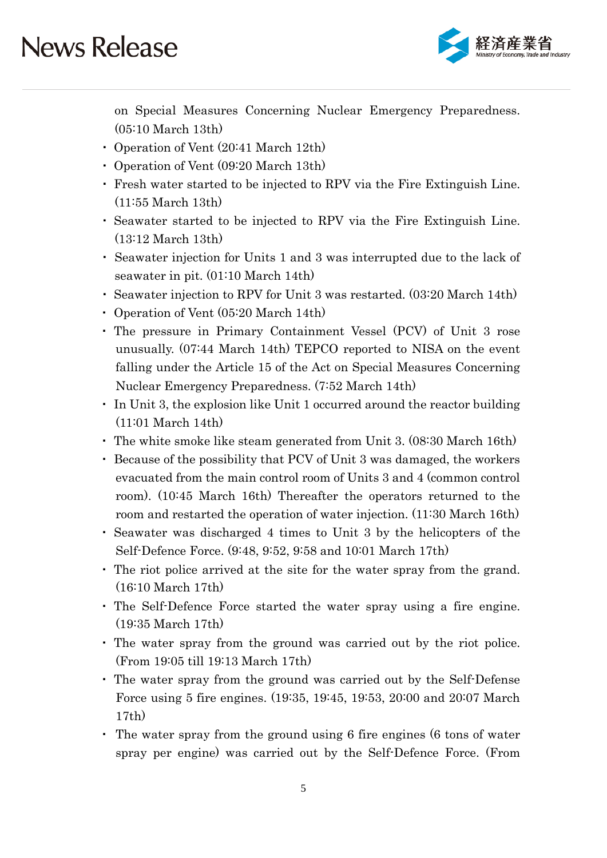

on Special Measures Concerning Nuclear Emergency Preparedness. (05:10 March 13th)

- ・ Operation of Vent (20:41 March 12th)
- ・ Operation of Vent (09:20 March 13th)
- ・ Fresh water started to be injected to RPV via the Fire Extinguish Line. (11:55 March 13th)
- ・ Seawater started to be injected to RPV via the Fire Extinguish Line. (13:12 March 13th)
- ・ Seawater injection for Units 1 and 3 was interrupted due to the lack of seawater in pit. (01:10 March 14th)
- ・ Seawater injection to RPV for Unit 3 was restarted. (03:20 March 14th)
- ・ Operation of Vent (05:20 March 14th)
- ・ The pressure in Primary Containment Vessel (PCV) of Unit 3 rose unusually. (07:44 March 14th) TEPCO reported to NISA on the event falling under the Article 15 of the Act on Special Measures Concerning Nuclear Emergency Preparedness. (7:52 March 14th)
- ・ In Unit 3, the explosion like Unit 1 occurred around the reactor building (11:01 March 14th)
- ・ The white smoke like steam generated from Unit 3. (08:30 March 16th)
- ・ Because of the possibility that PCV of Unit 3 was damaged, the workers evacuated from the main control room of Units 3 and 4 (common control room). (10:45 March 16th) Thereafter the operators returned to the room and restarted the operation of water injection. (11:30 March 16th)
- ・ Seawater was discharged 4 times to Unit 3 by the helicopters of the Self-Defence Force. (9:48, 9:52, 9:58 and 10:01 March 17th)
- ・ The riot police arrived at the site for the water spray from the grand. (16:10 March 17th)
- ・ The Self-Defence Force started the water spray using a fire engine. (19:35 March 17th)
- ・ The water spray from the ground was carried out by the riot police. (From 19:05 till 19:13 March 17th)
- ・ The water spray from the ground was carried out by the Self-Defense Force using 5 fire engines. (19:35, 19:45, 19:53, 20:00 and 20:07 March 17th)
- ・ The water spray from the ground using 6 fire engines (6 tons of water spray per engine) was carried out by the Self-Defence Force. (From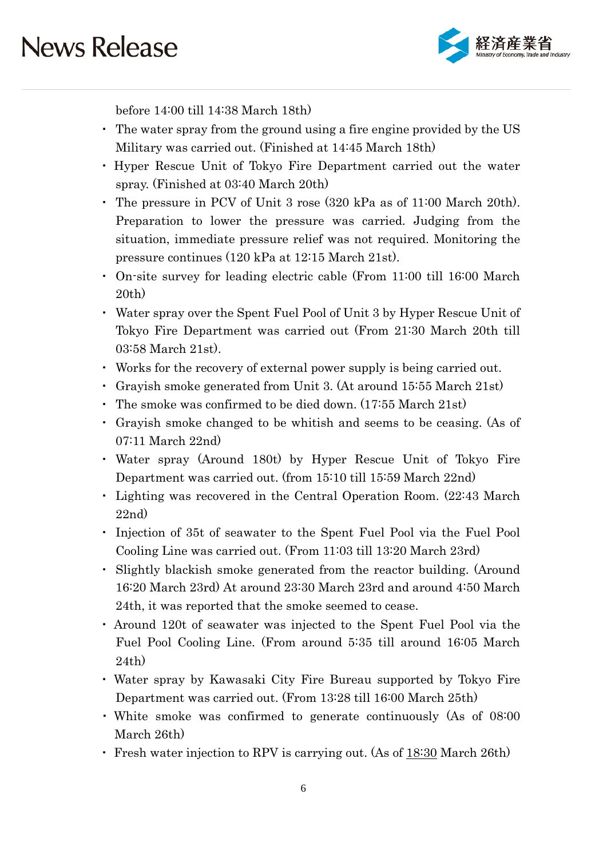

before 14:00 till 14:38 March 18th)

- ・ The water spray from the ground using a fire engine provided by the US Military was carried out. (Finished at 14:45 March 18th)
- ・ Hyper Rescue Unit of Tokyo Fire Department carried out the water spray. (Finished at 03:40 March 20th)
- ・ The pressure in PCV of Unit 3 rose (320 kPa as of 11:00 March 20th). Preparation to lower the pressure was carried. Judging from the situation, immediate pressure relief was not required. Monitoring the pressure continues (120 kPa at 12:15 March 21st).
- ・ On-site survey for leading electric cable (From 11:00 till 16:00 March 20th)
- ・ Water spray over the Spent Fuel Pool of Unit 3 by Hyper Rescue Unit of Tokyo Fire Department was carried out (From 21:30 March 20th till 03:58 March 21st).
- ・ Works for the recovery of external power supply is being carried out.
- ・ Grayish smoke generated from Unit 3. (At around 15:55 March 21st)
- ・ The smoke was confirmed to be died down. (17:55 March 21st)
- ・ Grayish smoke changed to be whitish and seems to be ceasing. (As of 07:11 March 22nd)
- ・ Water spray (Around 180t) by Hyper Rescue Unit of Tokyo Fire Department was carried out. (from 15:10 till 15:59 March 22nd)
- ・ Lighting was recovered in the Central Operation Room. (22:43 March 22nd)
- ・ Injection of 35t of seawater to the Spent Fuel Pool via the Fuel Pool Cooling Line was carried out. (From 11:03 till 13:20 March 23rd)
- ・ Slightly blackish smoke generated from the reactor building. (Around 16:20 March 23rd) At around 23:30 March 23rd and around 4:50 March 24th, it was reported that the smoke seemed to cease.
- ・ Around 120t of seawater was injected to the Spent Fuel Pool via the Fuel Pool Cooling Line. (From around 5:35 till around 16:05 March 24th)
- ・ Water spray by Kawasaki City Fire Bureau supported by Tokyo Fire Department was carried out. (From 13:28 till 16:00 March 25th)
- ・ White smoke was confirmed to generate continuously (As of 08:00 March 26th)
- ・ Fresh water injection to RPV is carrying out. (As of 18:30 March 26th)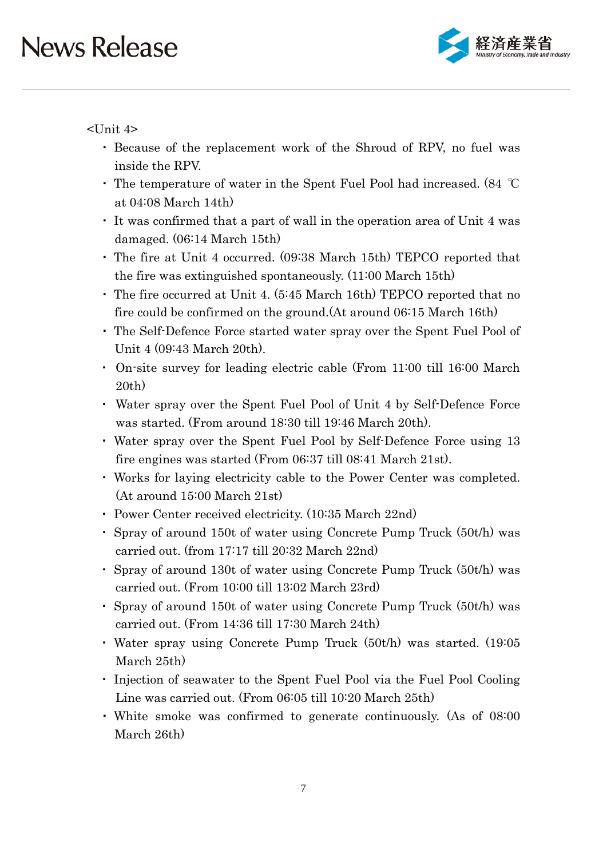

<Unit 4>

- ・ Because of the replacement work of the Shroud of RPV, no fuel was inside the RPV.
- ・ The temperature of water in the Spent Fuel Pool had increased. (84 ℃ at 04:08 March 14th)
- ・ It was confirmed that a part of wall in the operation area of Unit 4 was damaged. (06:14 March 15th)
- ・ The fire at Unit 4 occurred. (09:38 March 15th) TEPCO reported that the fire was extinguished spontaneously. (11:00 March 15th)
- ・ The fire occurred at Unit 4. (5:45 March 16th) TEPCO reported that no fire could be confirmed on the ground.(At around 06:15 March 16th)
- ・ The Self-Defence Force started water spray over the Spent Fuel Pool of Unit 4 (09:43 March 20th).
- ・ On-site survey for leading electric cable (From 11:00 till 16:00 March 20th)
- ・ Water spray over the Spent Fuel Pool of Unit 4 by Self-Defence Force was started. (From around 18:30 till 19:46 March 20th).
- ・ Water spray over the Spent Fuel Pool by Self-Defence Force using 13 fire engines was started (From 06:37 till 08:41 March 21st).
- ・ Works for laying electricity cable to the Power Center was completed. (At around 15:00 March 21st)
- ・ Power Center received electricity. (10:35 March 22nd)
- ・ Spray of around 150t of water using Concrete Pump Truck (50t/h) was carried out. (from 17:17 till 20:32 March 22nd)
- ・ Spray of around 130t of water using Concrete Pump Truck (50t/h) was carried out. (From 10:00 till 13:02 March 23rd)
- ・ Spray of around 150t of water using Concrete Pump Truck (50t/h) was carried out. (From 14:36 till 17:30 March 24th)
- ・ Water spray using Concrete Pump Truck (50t/h) was started. (19:05 March 25th)
- ・ Injection of seawater to the Spent Fuel Pool via the Fuel Pool Cooling Line was carried out. (From 06:05 till 10:20 March 25th)
- ・ White smoke was confirmed to generate continuously. (As of 08:00 March 26th)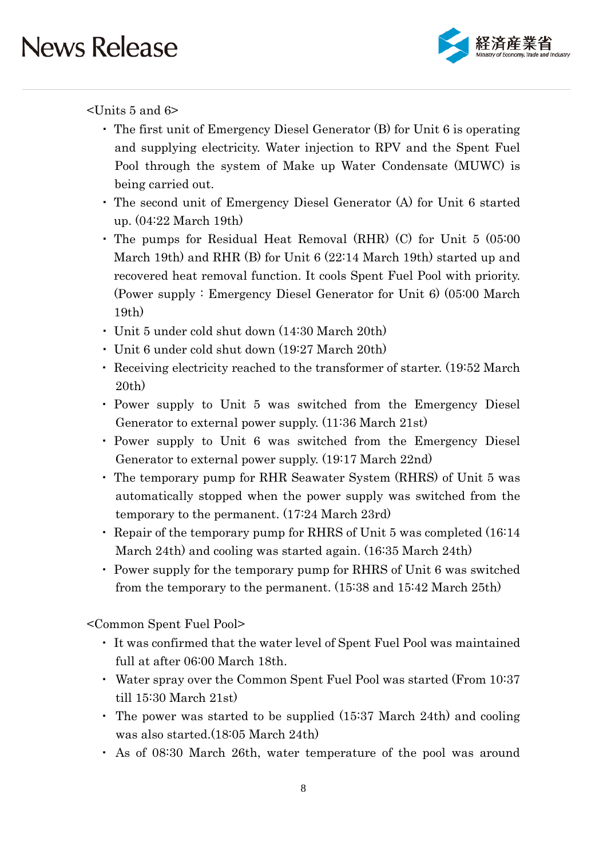

<Units 5 and 6>

- ・ The first unit of Emergency Diesel Generator (B) for Unit 6 is operating and supplying electricity. Water injection to RPV and the Spent Fuel Pool through the system of Make up Water Condensate (MUWC) is being carried out.
- ・ The second unit of Emergency Diesel Generator (A) for Unit 6 started up. (04:22 March 19th)
- ・ The pumps for Residual Heat Removal (RHR) (C) for Unit 5 (05:00 March 19th) and RHR (B) for Unit 6 (22:14 March 19th) started up and recovered heat removal function. It cools Spent Fuel Pool with priority. (Power supply : Emergency Diesel Generator for Unit 6) (05:00 March 19th)
- ・ Unit 5 under cold shut down (14:30 March 20th)
- ・ Unit 6 under cold shut down (19:27 March 20th)
- ・ Receiving electricity reached to the transformer of starter. (19:52 March 20th)
- ・ Power supply to Unit 5 was switched from the Emergency Diesel Generator to external power supply. (11:36 March 21st)
- ・ Power supply to Unit 6 was switched from the Emergency Diesel Generator to external power supply. (19:17 March 22nd)
- ・ The temporary pump for RHR Seawater System (RHRS) of Unit 5 was automatically stopped when the power supply was switched from the temporary to the permanent. (17:24 March 23rd)
- ・ Repair of the temporary pump for RHRS of Unit 5 was completed (16:14 March 24th) and cooling was started again. (16:35 March 24th)
- ・ Power supply for the temporary pump for RHRS of Unit 6 was switched from the temporary to the permanent. (15:38 and 15:42 March 25th)

<Common Spent Fuel Pool>

- ・ It was confirmed that the water level of Spent Fuel Pool was maintained full at after 06:00 March 18th.
- ・ Water spray over the Common Spent Fuel Pool was started (From 10:37 till 15:30 March 21st)
- ・ The power was started to be supplied (15:37 March 24th) and cooling was also started.(18:05 March 24th)
- ・ As of 08:30 March 26th, water temperature of the pool was around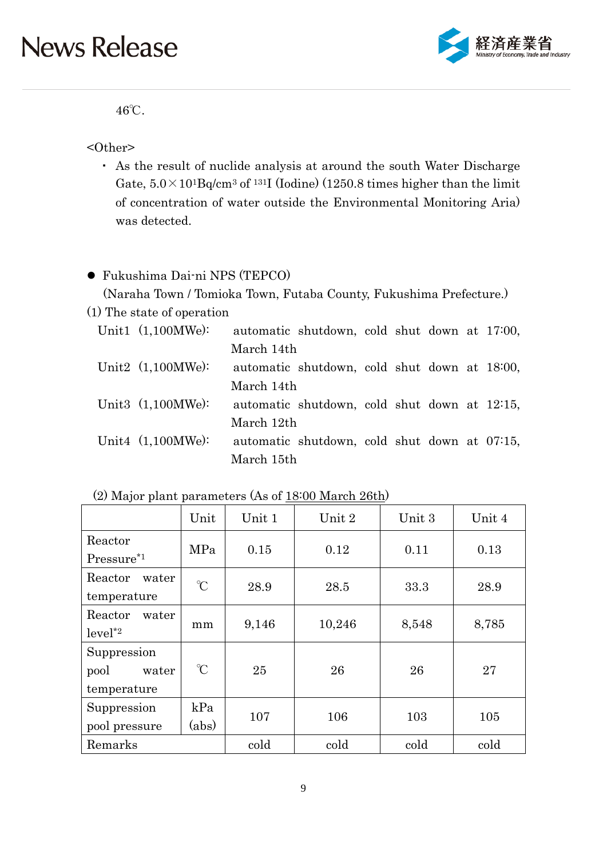

46℃.

<Other>

・ As the result of nuclide analysis at around the south Water Discharge Gate,  $5.0 \times 10^{1}$ Bq/cm<sup>3</sup> of <sup>131</sup>I (Iodine) (1250.8 times higher than the limit of concentration of water outside the Environmental Monitoring Aria) was detected.

#### Fukushima Dai-ni NPS (TEPCO)

(Naraha Town / Tomioka Town, Futaba County, Fukushima Prefecture.)

(1) The state of operation

| Unit1 $(1,100MWe)$ : |            | automatic shutdown, cold shut down at 17:00, |  |  |  |
|----------------------|------------|----------------------------------------------|--|--|--|
|                      | March 14th |                                              |  |  |  |
| Unit2 $(1,100MWe)$ : |            | automatic shutdown, cold shut down at 18:00, |  |  |  |
|                      | March 14th |                                              |  |  |  |
| Unit3 $(1,100MWe)$ : |            | automatic shutdown, cold shut down at 12:15, |  |  |  |
|                      | March 12th |                                              |  |  |  |
| Unit4 $(1,100MWe)$ : |            | automatic shutdown, cold shut down at 07:15, |  |  |  |
|                      | March 15th |                                              |  |  |  |

| (2) Major plant parameters (As of 18:00 March 26th) |  |
|-----------------------------------------------------|--|
|-----------------------------------------------------|--|

|                                              | Unit                 | Unit 1 | Unit 2 | Unit 3 | Unit 4 |
|----------------------------------------------|----------------------|--------|--------|--------|--------|
| Reactor<br>$Pressure*1$                      | MPa                  | 0.15   | 0.12   | 0.11   | 0.13   |
| Reactor<br>water<br>temperature              | $\gamma$             | 28.9   | 28.5   | 33.3   | 28.9   |
| Reactor<br>water<br>$level^*2$               | mm                   |        | 10,246 | 8,548  | 8,785  |
| Suppression<br>pool<br>water<br>temperature  | $\mathrm{C}^{\circ}$ | 25     | 26     | 26     | 27     |
| Suppression<br>kPa<br>(abs)<br>pool pressure |                      | 107    | 106    | 103    | 105    |
| Remarks                                      |                      | cold   | cold   | cold   | cold   |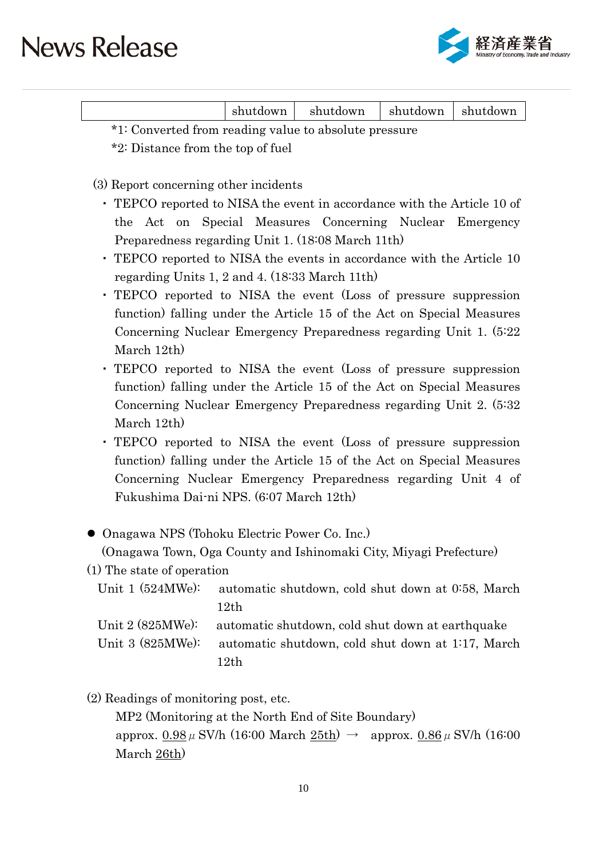

|  |  | shutdown | shutdown | shutdown | shutdown |
|--|--|----------|----------|----------|----------|
|--|--|----------|----------|----------|----------|

\*1: Converted from reading value to absolute pressure \*2: Distance from the top of fuel

(3) Report concerning other incidents

- ・ TEPCO reported to NISA the event in accordance with the Article 10 of the Act on Special Measures Concerning Nuclear Emergency Preparedness regarding Unit 1. (18:08 March 11th)
- ・ TEPCO reported to NISA the events in accordance with the Article 10 regarding Units 1, 2 and 4. (18:33 March 11th)
- ・ TEPCO reported to NISA the event (Loss of pressure suppression function) falling under the Article 15 of the Act on Special Measures Concerning Nuclear Emergency Preparedness regarding Unit 1. (5:22 March 12th)
- ・ TEPCO reported to NISA the event (Loss of pressure suppression function) falling under the Article 15 of the Act on Special Measures Concerning Nuclear Emergency Preparedness regarding Unit 2. (5:32 March 12th)
- ・ TEPCO reported to NISA the event (Loss of pressure suppression function) falling under the Article 15 of the Act on Special Measures Concerning Nuclear Emergency Preparedness regarding Unit 4 of Fukushima Dai-ni NPS. (6:07 March 12th)

Onagawa NPS (Tohoku Electric Power Co. Inc.)

(Onagawa Town, Oga County and Ishinomaki City, Miyagi Prefecture)

(1) The state of operation

|                           | Unit 1 (524MWe): automatic shutdown, cold shut down at 0.58, March |
|---------------------------|--------------------------------------------------------------------|
|                           | 12th                                                               |
| Unit $2(825\text{MWe})$ : | automatic shutdown, cold shut down at earthquake                   |
|                           | Unit 3 (825MWe): automatic shutdown, cold shut down at 1:17, March |
|                           | 12th                                                               |

(2) Readings of monitoring post, etc.

MP2 (Monitoring at the North End of Site Boundary) approx.  $0.98 \mu$  SV/h (16:00 March  $25th$ )  $\rightarrow$  approx.  $0.86 \mu$  SV/h (16:00 March 26th)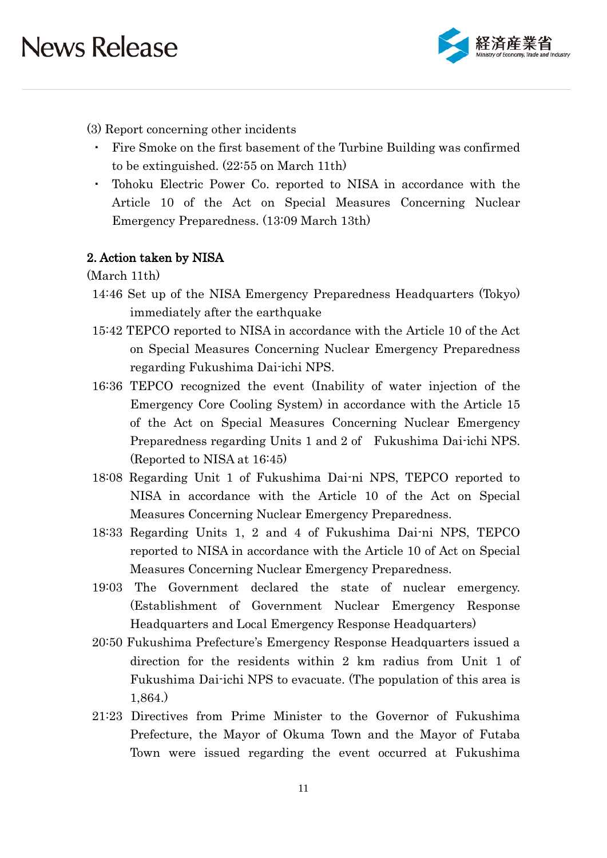

- (3) Report concerning other incidents
- ・ Fire Smoke on the first basement of the Turbine Building was confirmed to be extinguished. (22:55 on March 11th)
- ・ Tohoku Electric Power Co. reported to NISA in accordance with the Article 10 of the Act on Special Measures Concerning Nuclear Emergency Preparedness. (13:09 March 13th)

#### 2. Action taken by NISA

(March 11th)

- 14:46 Set up of the NISA Emergency Preparedness Headquarters (Tokyo) immediately after the earthquake
- 15:42 TEPCO reported to NISA in accordance with the Article 10 of the Act on Special Measures Concerning Nuclear Emergency Preparedness regarding Fukushima Dai-ichi NPS.
- 16:36 TEPCO recognized the event (Inability of water injection of the Emergency Core Cooling System) in accordance with the Article 15 of the Act on Special Measures Concerning Nuclear Emergency Preparedness regarding Units 1 and 2 of Fukushima Dai-ichi NPS. (Reported to NISA at 16:45)
- 18:08 Regarding Unit 1 of Fukushima Dai-ni NPS, TEPCO reported to NISA in accordance with the Article 10 of the Act on Special Measures Concerning Nuclear Emergency Preparedness.
- 18:33 Regarding Units 1, 2 and 4 of Fukushima Dai-ni NPS, TEPCO reported to NISA in accordance with the Article 10 of Act on Special Measures Concerning Nuclear Emergency Preparedness.
- 19:03 The Government declared the state of nuclear emergency. (Establishment of Government Nuclear Emergency Response Headquarters and Local Emergency Response Headquarters)
- 20:50 Fukushima Prefecture's Emergency Response Headquarters issued a direction for the residents within 2 km radius from Unit 1 of Fukushima Dai-ichi NPS to evacuate. (The population of this area is 1,864.)
- 21:23 Directives from Prime Minister to the Governor of Fukushima Prefecture, the Mayor of Okuma Town and the Mayor of Futaba Town were issued regarding the event occurred at Fukushima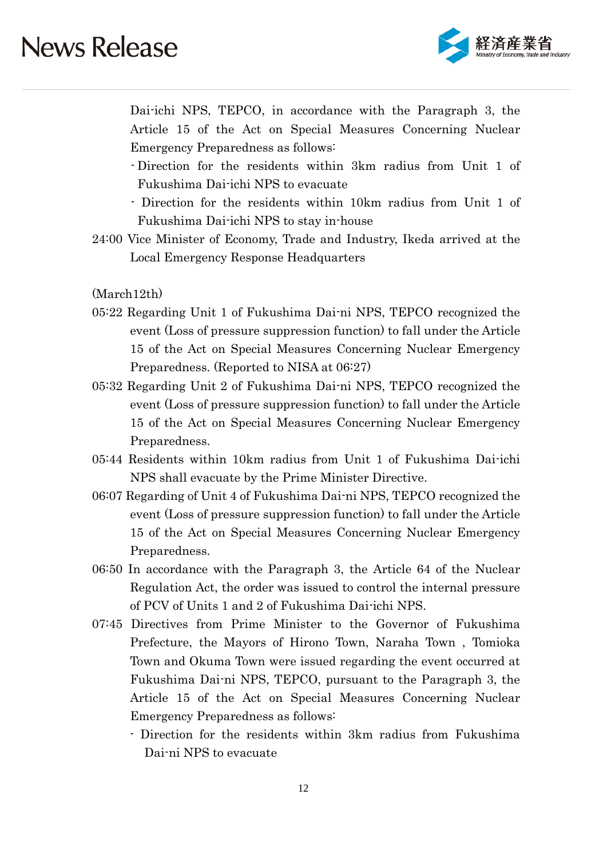

Dai-ichi NPS, TEPCO, in accordance with the Paragraph 3, the Article 15 of the Act on Special Measures Concerning Nuclear Emergency Preparedness as follows:

- Direction for the residents within 3km radius from Unit 1 of Fukushima Dai-ichi NPS to evacuate
- Direction for the residents within 10km radius from Unit 1 of Fukushima Dai-ichi NPS to stay in-house
- 24:00 Vice Minister of Economy, Trade and Industry, Ikeda arrived at the Local Emergency Response Headquarters

(March12th)

- 05:22 Regarding Unit 1 of Fukushima Dai-ni NPS, TEPCO recognized the event (Loss of pressure suppression function) to fall under the Article 15 of the Act on Special Measures Concerning Nuclear Emergency Preparedness. (Reported to NISA at 06:27)
- 05:32 Regarding Unit 2 of Fukushima Dai-ni NPS, TEPCO recognized the event (Loss of pressure suppression function) to fall under the Article 15 of the Act on Special Measures Concerning Nuclear Emergency Preparedness.
- 05:44 Residents within 10km radius from Unit 1 of Fukushima Dai-ichi NPS shall evacuate by the Prime Minister Directive.
- 06:07 Regarding of Unit 4 of Fukushima Dai-ni NPS, TEPCO recognized the event (Loss of pressure suppression function) to fall under the Article 15 of the Act on Special Measures Concerning Nuclear Emergency Preparedness.
- 06:50 In accordance with the Paragraph 3, the Article 64 of the Nuclear Regulation Act, the order was issued to control the internal pressure of PCV of Units 1 and 2 of Fukushima Dai-ichi NPS.
- 07:45 Directives from Prime Minister to the Governor of Fukushima Prefecture, the Mayors of Hirono Town, Naraha Town , Tomioka Town and Okuma Town were issued regarding the event occurred at Fukushima Dai-ni NPS, TEPCO, pursuant to the Paragraph 3, the Article 15 of the Act on Special Measures Concerning Nuclear Emergency Preparedness as follows:
	- Direction for the residents within 3km radius from Fukushima Dai-ni NPS to evacuate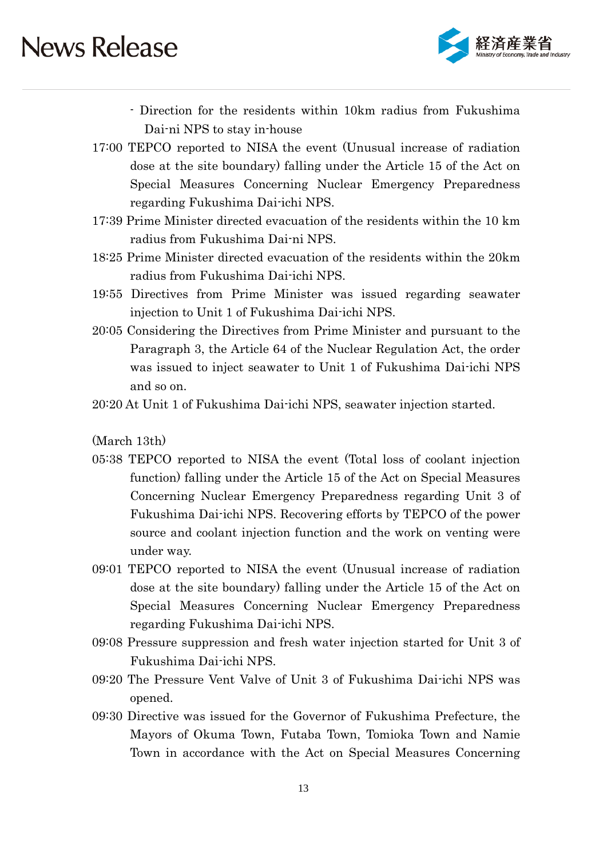

- Direction for the residents within 10km radius from Fukushima Dai-ni NPS to stay in-house
- 17:00 TEPCO reported to NISA the event (Unusual increase of radiation dose at the site boundary) falling under the Article 15 of the Act on Special Measures Concerning Nuclear Emergency Preparedness regarding Fukushima Dai-ichi NPS.
- 17:39 Prime Minister directed evacuation of the residents within the 10 km radius from Fukushima Dai-ni NPS.
- 18:25 Prime Minister directed evacuation of the residents within the 20km radius from Fukushima Dai-ichi NPS.
- 19:55 Directives from Prime Minister was issued regarding seawater injection to Unit 1 of Fukushima Dai-ichi NPS.
- 20:05 Considering the Directives from Prime Minister and pursuant to the Paragraph 3, the Article 64 of the Nuclear Regulation Act, the order was issued to inject seawater to Unit 1 of Fukushima Dai-ichi NPS and so on.
- 20:20 At Unit 1 of Fukushima Dai-ichi NPS, seawater injection started.

(March 13th)

- 05:38 TEPCO reported to NISA the event (Total loss of coolant injection function) falling under the Article 15 of the Act on Special Measures Concerning Nuclear Emergency Preparedness regarding Unit 3 of Fukushima Dai-ichi NPS. Recovering efforts by TEPCO of the power source and coolant injection function and the work on venting were under way.
- 09:01 TEPCO reported to NISA the event (Unusual increase of radiation dose at the site boundary) falling under the Article 15 of the Act on Special Measures Concerning Nuclear Emergency Preparedness regarding Fukushima Dai-ichi NPS.
- 09:08 Pressure suppression and fresh water injection started for Unit 3 of Fukushima Dai-ichi NPS.
- 09:20 The Pressure Vent Valve of Unit 3 of Fukushima Dai-ichi NPS was opened.
- 09:30 Directive was issued for the Governor of Fukushima Prefecture, the Mayors of Okuma Town, Futaba Town, Tomioka Town and Namie Town in accordance with the Act on Special Measures Concerning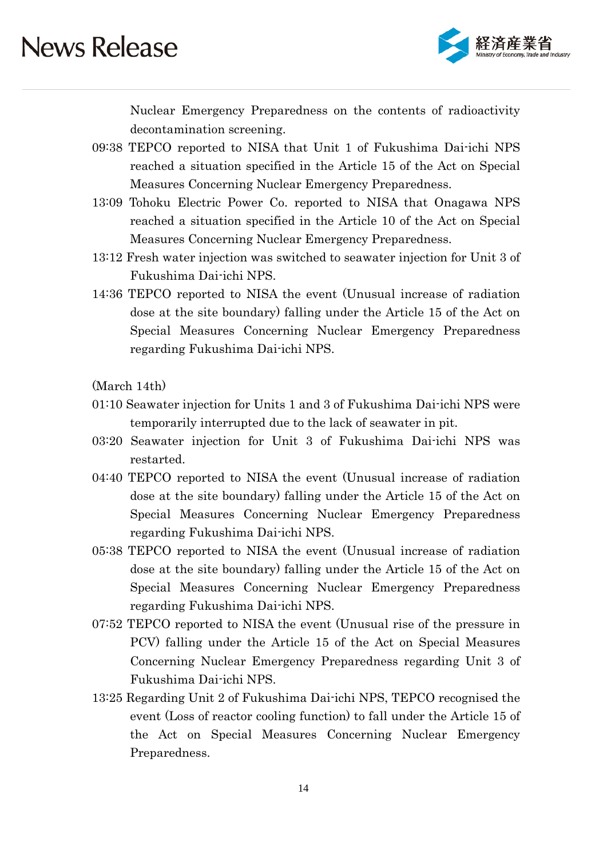

Nuclear Emergency Preparedness on the contents of radioactivity decontamination screening.

- 09:38 TEPCO reported to NISA that Unit 1 of Fukushima Dai-ichi NPS reached a situation specified in the Article 15 of the Act on Special Measures Concerning Nuclear Emergency Preparedness.
- 13:09 Tohoku Electric Power Co. reported to NISA that Onagawa NPS reached a situation specified in the Article 10 of the Act on Special Measures Concerning Nuclear Emergency Preparedness.
- 13:12 Fresh water injection was switched to seawater injection for Unit 3 of Fukushima Dai-ichi NPS.
- 14:36 TEPCO reported to NISA the event (Unusual increase of radiation dose at the site boundary) falling under the Article 15 of the Act on Special Measures Concerning Nuclear Emergency Preparedness regarding Fukushima Dai-ichi NPS.

(March 14th)

- 01:10 Seawater injection for Units 1 and 3 of Fukushima Dai-ichi NPS were temporarily interrupted due to the lack of seawater in pit.
- 03:20 Seawater injection for Unit 3 of Fukushima Dai-ichi NPS was restarted.
- 04:40 TEPCO reported to NISA the event (Unusual increase of radiation dose at the site boundary) falling under the Article 15 of the Act on Special Measures Concerning Nuclear Emergency Preparedness regarding Fukushima Dai-ichi NPS.
- 05:38 TEPCO reported to NISA the event (Unusual increase of radiation dose at the site boundary) falling under the Article 15 of the Act on Special Measures Concerning Nuclear Emergency Preparedness regarding Fukushima Dai-ichi NPS.
- 07:52 TEPCO reported to NISA the event (Unusual rise of the pressure in PCV) falling under the Article 15 of the Act on Special Measures Concerning Nuclear Emergency Preparedness regarding Unit 3 of Fukushima Dai-ichi NPS.
- 13:25 Regarding Unit 2 of Fukushima Dai-ichi NPS, TEPCO recognised the event (Loss of reactor cooling function) to fall under the Article 15 of the Act on Special Measures Concerning Nuclear Emergency Preparedness.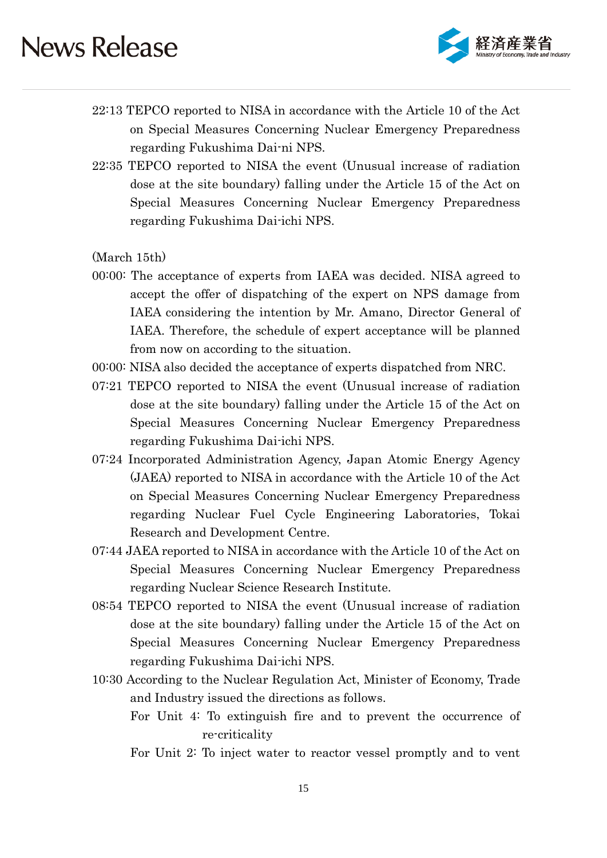

- 22:13 TEPCO reported to NISA in accordance with the Article 10 of the Act on Special Measures Concerning Nuclear Emergency Preparedness regarding Fukushima Dai-ni NPS.
- 22:35 TEPCO reported to NISA the event (Unusual increase of radiation dose at the site boundary) falling under the Article 15 of the Act on Special Measures Concerning Nuclear Emergency Preparedness regarding Fukushima Dai-ichi NPS.

(March 15th)

- 00:00: The acceptance of experts from IAEA was decided. NISA agreed to accept the offer of dispatching of the expert on NPS damage from IAEA considering the intention by Mr. Amano, Director General of IAEA. Therefore, the schedule of expert acceptance will be planned from now on according to the situation.
- 00:00: NISA also decided the acceptance of experts dispatched from NRC.
- 07:21 TEPCO reported to NISA the event (Unusual increase of radiation dose at the site boundary) falling under the Article 15 of the Act on Special Measures Concerning Nuclear Emergency Preparedness regarding Fukushima Dai-ichi NPS.
- 07:24 Incorporated Administration Agency, Japan Atomic Energy Agency (JAEA) reported to NISA in accordance with the Article 10 of the Act on Special Measures Concerning Nuclear Emergency Preparedness regarding Nuclear Fuel Cycle Engineering Laboratories, Tokai Research and Development Centre.
- 07:44 JAEA reported to NISA in accordance with the Article 10 of the Act on Special Measures Concerning Nuclear Emergency Preparedness regarding Nuclear Science Research Institute.
- 08:54 TEPCO reported to NISA the event (Unusual increase of radiation dose at the site boundary) falling under the Article 15 of the Act on Special Measures Concerning Nuclear Emergency Preparedness regarding Fukushima Dai-ichi NPS.
- 10:30 According to the Nuclear Regulation Act, Minister of Economy, Trade and Industry issued the directions as follows.
	- For Unit 4: To extinguish fire and to prevent the occurrence of re-criticality
	- For Unit 2: To inject water to reactor vessel promptly and to vent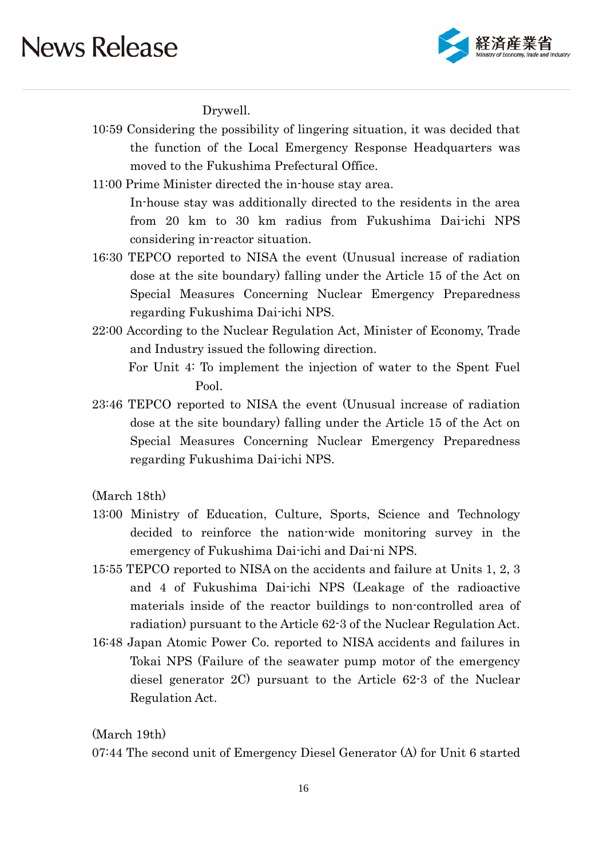

Drywell.

- 10:59 Considering the possibility of lingering situation, it was decided that the function of the Local Emergency Response Headquarters was moved to the Fukushima Prefectural Office.
- 11:00 Prime Minister directed the in-house stay area. In-house stay was additionally directed to the residents in the area from 20 km to 30 km radius from Fukushima Dai-ichi NPS considering in-reactor situation.
- 16:30 TEPCO reported to NISA the event (Unusual increase of radiation dose at the site boundary) falling under the Article 15 of the Act on Special Measures Concerning Nuclear Emergency Preparedness regarding Fukushima Dai-ichi NPS.
- 22:00 According to the Nuclear Regulation Act, Minister of Economy, Trade and Industry issued the following direction.

For Unit 4: To implement the injection of water to the Spent Fuel Pool.

23:46 TEPCO reported to NISA the event (Unusual increase of radiation dose at the site boundary) falling under the Article 15 of the Act on Special Measures Concerning Nuclear Emergency Preparedness regarding Fukushima Dai-ichi NPS.

(March 18th)

- 13:00 Ministry of Education, Culture, Sports, Science and Technology decided to reinforce the nation-wide monitoring survey in the emergency of Fukushima Dai-ichi and Dai-ni NPS.
- 15:55 TEPCO reported to NISA on the accidents and failure at Units 1, 2, 3 and 4 of Fukushima Dai-ichi NPS (Leakage of the radioactive materials inside of the reactor buildings to non-controlled area of radiation) pursuant to the Article 62-3 of the Nuclear Regulation Act.
- 16:48 Japan Atomic Power Co. reported to NISA accidents and failures in Tokai NPS (Failure of the seawater pump motor of the emergency diesel generator 2C) pursuant to the Article 62-3 of the Nuclear Regulation Act.

(March 19th)

07:44 The second unit of Emergency Diesel Generator (A) for Unit 6 started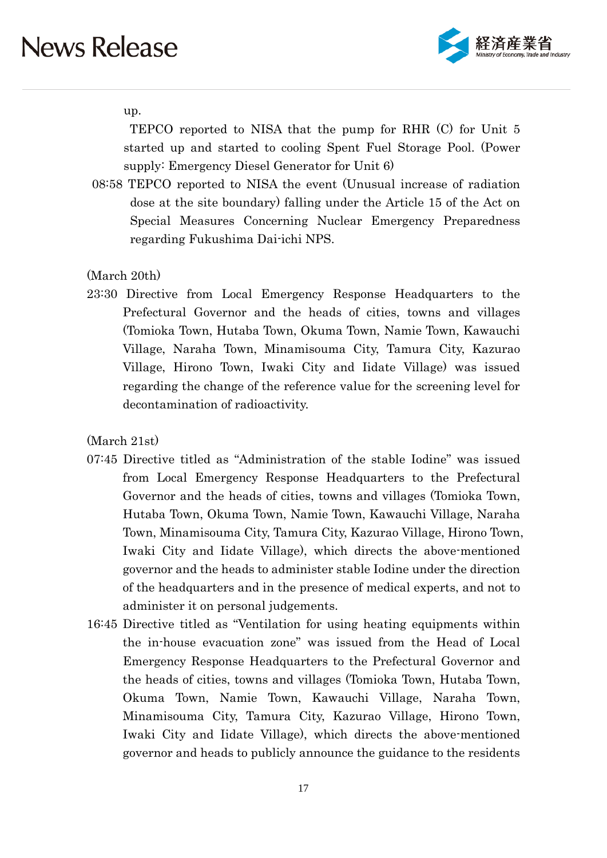

up.

TEPCO reported to NISA that the pump for RHR (C) for Unit 5 started up and started to cooling Spent Fuel Storage Pool. (Power supply: Emergency Diesel Generator for Unit 6)

08:58 TEPCO reported to NISA the event (Unusual increase of radiation dose at the site boundary) falling under the Article 15 of the Act on Special Measures Concerning Nuclear Emergency Preparedness regarding Fukushima Dai-ichi NPS.

(March 20th)

23:30 Directive from Local Emergency Response Headquarters to the Prefectural Governor and the heads of cities, towns and villages (Tomioka Town, Hutaba Town, Okuma Town, Namie Town, Kawauchi Village, Naraha Town, Minamisouma City, Tamura City, Kazurao Village, Hirono Town, Iwaki City and Iidate Village) was issued regarding the change of the reference value for the screening level for decontamination of radioactivity.

(March 21st)

- 07:45 Directive titled as "Administration of the stable Iodine" was issued from Local Emergency Response Headquarters to the Prefectural Governor and the heads of cities, towns and villages (Tomioka Town, Hutaba Town, Okuma Town, Namie Town, Kawauchi Village, Naraha Town, Minamisouma City, Tamura City, Kazurao Village, Hirono Town, Iwaki City and Iidate Village), which directs the above-mentioned governor and the heads to administer stable Iodine under the direction of the headquarters and in the presence of medical experts, and not to administer it on personal judgements.
- 16:45 Directive titled as "Ventilation for using heating equipments within the in-house evacuation zone" was issued from the Head of Local Emergency Response Headquarters to the Prefectural Governor and the heads of cities, towns and villages (Tomioka Town, Hutaba Town, Okuma Town, Namie Town, Kawauchi Village, Naraha Town, Minamisouma City, Tamura City, Kazurao Village, Hirono Town, Iwaki City and Iidate Village), which directs the above-mentioned governor and heads to publicly announce the guidance to the residents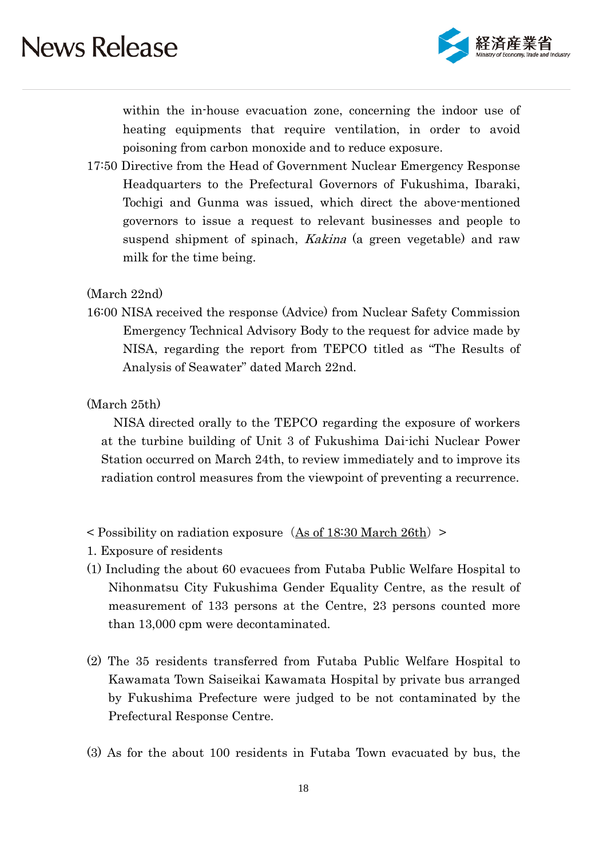

within the in-house evacuation zone, concerning the indoor use of heating equipments that require ventilation, in order to avoid poisoning from carbon monoxide and to reduce exposure.

17:50 Directive from the Head of Government Nuclear Emergency Response Headquarters to the Prefectural Governors of Fukushima, Ibaraki, Tochigi and Gunma was issued, which direct the above-mentioned governors to issue a request to relevant businesses and people to suspend shipment of spinach, *Kakina* (a green vegetable) and raw milk for the time being.

(March 22nd)

16:00 NISA received the response (Advice) from Nuclear Safety Commission Emergency Technical Advisory Body to the request for advice made by NISA, regarding the report from TEPCO titled as "The Results of Analysis of Seawater" dated March 22nd.

(March 25th)

NISA directed orally to the TEPCO regarding the exposure of workers at the turbine building of Unit 3 of Fukushima Dai-ichi Nuclear Power Station occurred on March 24th, to review immediately and to improve its radiation control measures from the viewpoint of preventing a recurrence.

- $\leq$  Possibility on radiation exposure (As of 18:30 March 26th)  $\geq$
- 1. Exposure of residents
- (1) Including the about 60 evacuees from Futaba Public Welfare Hospital to Nihonmatsu City Fukushima Gender Equality Centre, as the result of measurement of 133 persons at the Centre, 23 persons counted more than 13,000 cpm were decontaminated.
- (2) The 35 residents transferred from Futaba Public Welfare Hospital to Kawamata Town Saiseikai Kawamata Hospital by private bus arranged by Fukushima Prefecture were judged to be not contaminated by the Prefectural Response Centre.
- (3) As for the about 100 residents in Futaba Town evacuated by bus, the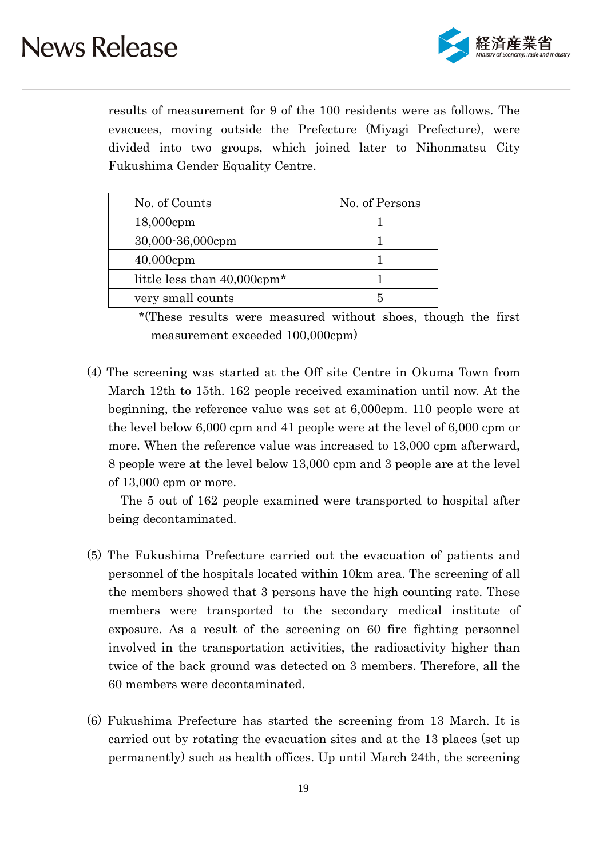

results of measurement for 9 of the 100 residents were as follows. The evacuees, moving outside the Prefecture (Miyagi Prefecture), were divided into two groups, which joined later to Nihonmatsu City Fukushima Gender Equality Centre.

| No. of Counts                           | No. of Persons |
|-----------------------------------------|----------------|
| $18,000$ cpm                            |                |
| 30,000-36,000cpm                        |                |
| $40,000$ cpm                            |                |
| little less than 40,000cpm <sup>*</sup> |                |
| very small counts                       |                |

 \*(These results were measured without shoes, though the first measurement exceeded 100,000cpm)

(4) The screening was started at the Off site Centre in Okuma Town from March 12th to 15th. 162 people received examination until now. At the beginning, the reference value was set at 6,000cpm. 110 people were at the level below 6,000 cpm and 41 people were at the level of 6,000 cpm or more. When the reference value was increased to 13,000 cpm afterward, 8 people were at the level below 13,000 cpm and 3 people are at the level of 13,000 cpm or more.

The 5 out of 162 people examined were transported to hospital after being decontaminated.

- (5) The Fukushima Prefecture carried out the evacuation of patients and personnel of the hospitals located within 10km area. The screening of all the members showed that 3 persons have the high counting rate. These members were transported to the secondary medical institute of exposure. As a result of the screening on 60 fire fighting personnel involved in the transportation activities, the radioactivity higher than twice of the back ground was detected on 3 members. Therefore, all the 60 members were decontaminated.
- (6) Fukushima Prefecture has started the screening from 13 March. It is carried out by rotating the evacuation sites and at the 13 places (set up permanently) such as health offices. Up until March 24th, the screening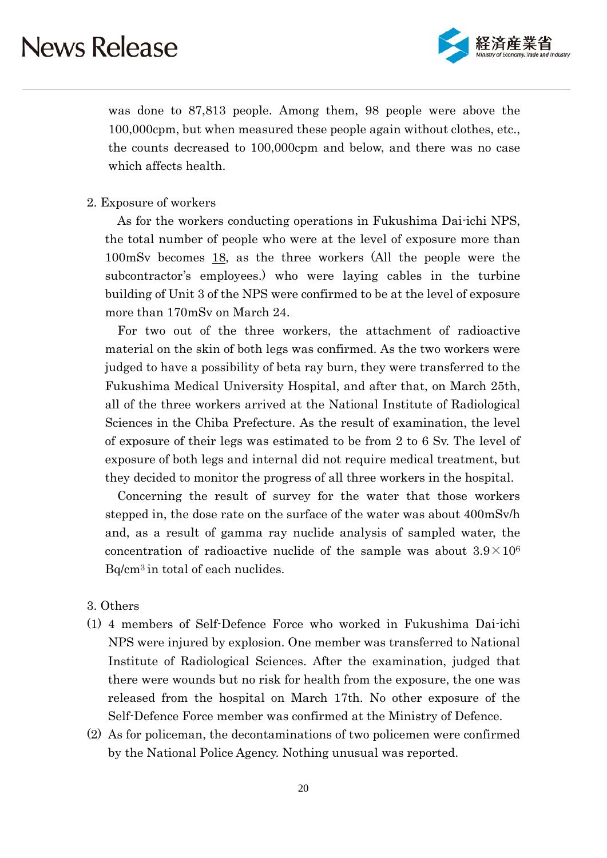

was done to 87,813 people. Among them, 98 people were above the 100,000cpm, but when measured these people again without clothes, etc., the counts decreased to 100,000cpm and below, and there was no case which affects health.

#### 2. Exposure of workers

As for the workers conducting operations in Fukushima Dai-ichi NPS, the total number of people who were at the level of exposure more than 100mSv becomes 18, as the three workers (All the people were the subcontractor's employees.) who were laying cables in the turbine building of Unit 3 of the NPS were confirmed to be at the level of exposure more than 170mSv on March 24.

For two out of the three workers, the attachment of radioactive material on the skin of both legs was confirmed. As the two workers were judged to have a possibility of beta ray burn, they were transferred to the Fukushima Medical University Hospital, and after that, on March 25th, all of the three workers arrived at the National Institute of Radiological Sciences in the Chiba Prefecture. As the result of examination, the level of exposure of their legs was estimated to be from 2 to 6 Sv. The level of exposure of both legs and internal did not require medical treatment, but they decided to monitor the progress of all three workers in the hospital.

Concerning the result of survey for the water that those workers stepped in, the dose rate on the surface of the water was about 400mSv/h and, as a result of gamma ray nuclide analysis of sampled water, the concentration of radioactive nuclide of the sample was about  $3.9 \times 10^6$ Bq/cm3 in total of each nuclides.

- 3. Others
- (1) 4 members of Self-Defence Force who worked in Fukushima Dai-ichi NPS were injured by explosion. One member was transferred to National Institute of Radiological Sciences. After the examination, judged that there were wounds but no risk for health from the exposure, the one was released from the hospital on March 17th. No other exposure of the Self-Defence Force member was confirmed at the Ministry of Defence.
- (2) As for policeman, the decontaminations of two policemen were confirmed by the National Police Agency. Nothing unusual was reported.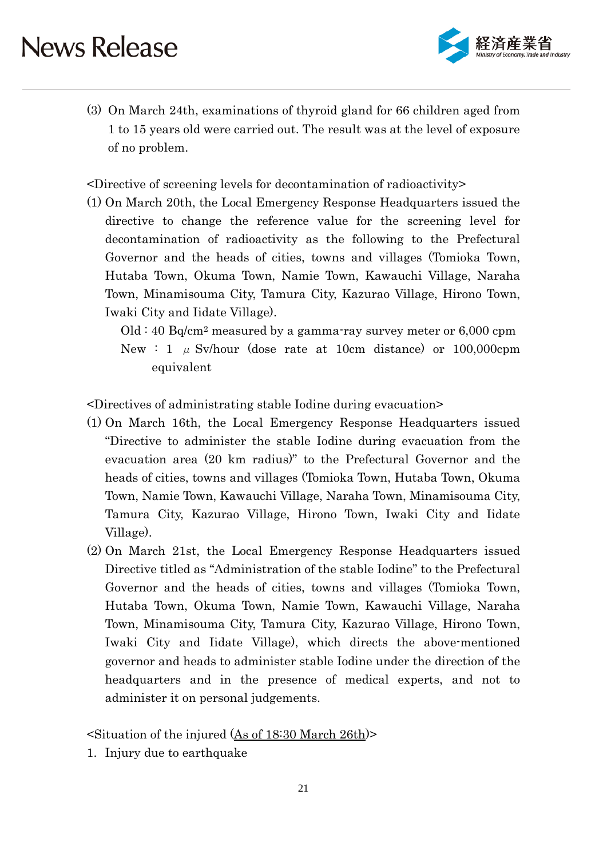

(3) On March 24th, examinations of thyroid gland for 66 children aged from 1 to 15 years old were carried out. The result was at the level of exposure of no problem.

<Directive of screening levels for decontamination of radioactivity>

(1) On March 20th, the Local Emergency Response Headquarters issued the directive to change the reference value for the screening level for decontamination of radioactivity as the following to the Prefectural Governor and the heads of cities, towns and villages (Tomioka Town, Hutaba Town, Okuma Town, Namie Town, Kawauchi Village, Naraha Town, Minamisouma City, Tamura City, Kazurao Village, Hirono Town, Iwaki City and Iidate Village).

 $Old: 40 Bq/cm<sup>2</sup> measured by a gamma-ray survey meter or 6,000 rpm$ New : 1  $\mu$  Sv/hour (dose rate at 10cm distance) or 100,000cpm equivalent

<Directives of administrating stable Iodine during evacuation>

- (1) On March 16th, the Local Emergency Response Headquarters issued "Directive to administer the stable Iodine during evacuation from the evacuation area (20 km radius)" to the Prefectural Governor and the heads of cities, towns and villages (Tomioka Town, Hutaba Town, Okuma Town, Namie Town, Kawauchi Village, Naraha Town, Minamisouma City, Tamura City, Kazurao Village, Hirono Town, Iwaki City and Iidate Village).
- (2) On March 21st, the Local Emergency Response Headquarters issued Directive titled as "Administration of the stable Iodine" to the Prefectural Governor and the heads of cities, towns and villages (Tomioka Town, Hutaba Town, Okuma Town, Namie Town, Kawauchi Village, Naraha Town, Minamisouma City, Tamura City, Kazurao Village, Hirono Town, Iwaki City and Iidate Village), which directs the above-mentioned governor and heads to administer stable Iodine under the direction of the headquarters and in the presence of medical experts, and not to administer it on personal judgements.

<Situation of the injured (As of 18:30 March 26th)>

1. Injury due to earthquake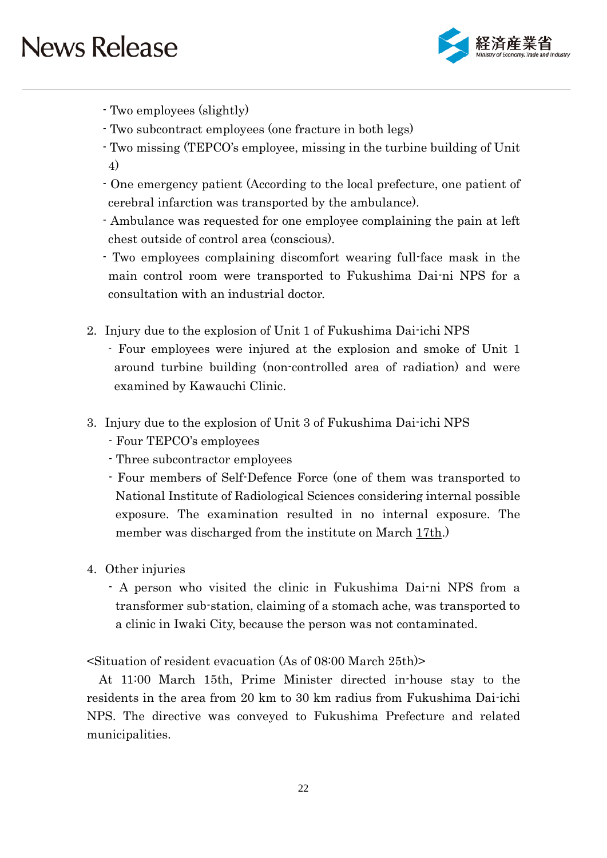

- Two employees (slightly)
- Two subcontract employees (one fracture in both legs)
- Two missing (TEPCO's employee, missing in the turbine building of Unit 4)
- One emergency patient (According to the local prefecture, one patient of cerebral infarction was transported by the ambulance).
- Ambulance was requested for one employee complaining the pain at left chest outside of control area (conscious).
- Two employees complaining discomfort wearing full-face mask in the main control room were transported to Fukushima Dai-ni NPS for a consultation with an industrial doctor.
- 2. Injury due to the explosion of Unit 1 of Fukushima Dai-ichi NPS
	- Four employees were injured at the explosion and smoke of Unit 1 around turbine building (non-controlled area of radiation) and were examined by Kawauchi Clinic.
- 3. Injury due to the explosion of Unit 3 of Fukushima Dai-ichi NPS
	- Four TEPCO's employees
	- Three subcontractor employees
	- Four members of Self-Defence Force (one of them was transported to National Institute of Radiological Sciences considering internal possible exposure. The examination resulted in no internal exposure. The member was discharged from the institute on March 17th.)
- 4. Other injuries
	- A person who visited the clinic in Fukushima Dai-ni NPS from a transformer sub-station, claiming of a stomach ache, was transported to a clinic in Iwaki City, because the person was not contaminated.

<Situation of resident evacuation (As of 08:00 March 25th)>

At 11:00 March 15th, Prime Minister directed in-house stay to the residents in the area from 20 km to 30 km radius from Fukushima Dai-ichi NPS. The directive was conveyed to Fukushima Prefecture and related municipalities.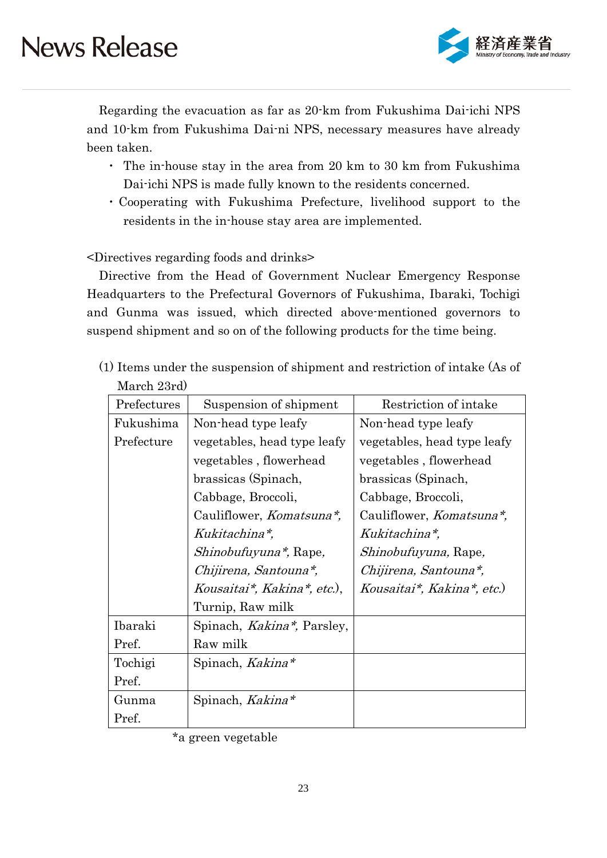

Regarding the evacuation as far as 20-km from Fukushima Dai-ichi NPS and 10-km from Fukushima Dai-ni NPS, necessary measures have already been taken.

- ・ The in-house stay in the area from 20 km to 30 km from Fukushima Dai-ichi NPS is made fully known to the residents concerned.
- ・Cooperating with Fukushima Prefecture, livelihood support to the residents in the in-house stay area are implemented.

<Directives regarding foods and drinks>

Directive from the Head of Government Nuclear Emergency Response Headquarters to the Prefectural Governors of Fukushima, Ibaraki, Tochigi and Gunma was issued, which directed above-mentioned governors to suspend shipment and so on of the following products for the time being.

(1) Items under the suspension of shipment and restriction of intake (As of March 23rd)

| Prefectures | Suspension of shipment                         | Restriction of intake            |
|-------------|------------------------------------------------|----------------------------------|
| Fukushima   | Non-head type leafy                            | Non-head type leafy              |
| Prefecture  | vegetables, head type leafy                    | vegetables, head type leafy      |
|             | vegetables, flowerhead                         | vegetables, flowerhead           |
|             | brassicas (Spinach,                            | brassicas (Spinach,              |
|             | Cabbage, Broccoli,                             | Cabbage, Broccoli,               |
|             | Cauliflower, <i>Komatsuna*</i> ,               | Cauliflower, <i>Komatsuna*</i> , |
|             | Kukitachina*,                                  | Kukitachina*,                    |
|             | <i>Shinobufuyuna*</i> , Rape,                  | <i>Shinobufuyuna</i> , Rape,     |
|             | Chijirena, Santouna*,                          | Chijirena, Santouna*,            |
|             | Kousaitai*, Kakina*, etc.),                    | Kousaitai*, Kakina*, etc.)       |
|             | Turnip, Raw milk                               |                                  |
| Ibaraki     | Spinach, <i>Kakina</i> <sup>*</sup> , Parsley, |                                  |
| Pref.       | Raw milk                                       |                                  |
| Tochigi     | Spinach, Kakina*                               |                                  |
| Pref.       |                                                |                                  |
| Gunma       | Spinach, Kakina*                               |                                  |
| Pref.       |                                                |                                  |

<sup>\*</sup>a green vegetable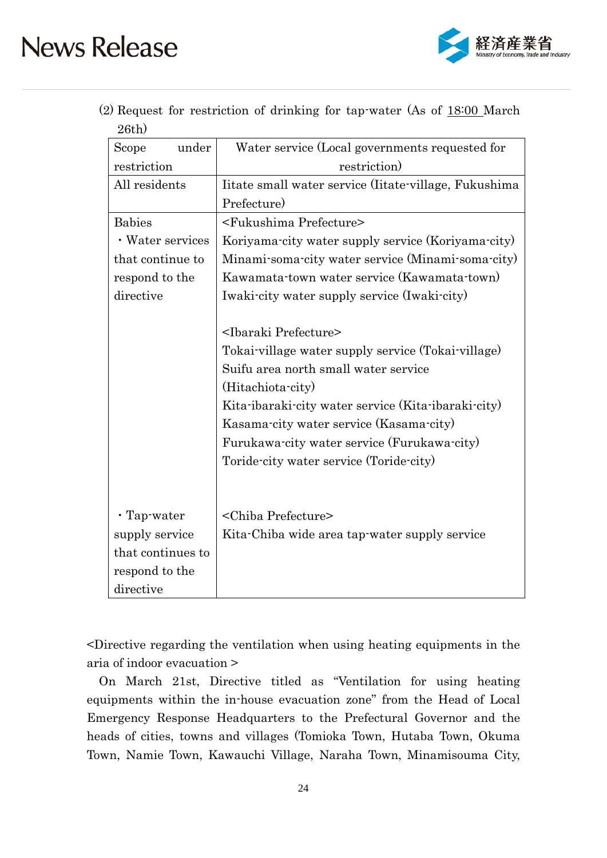

|          | (2) Request for restriction of drinking for tap-water (As of 18:00 March) |  |  |  |  |
|----------|---------------------------------------------------------------------------|--|--|--|--|
| $26th$ ) |                                                                           |  |  |  |  |

| Scope<br>under    | Water service (Local governments requested for        |  |  |  |  |  |
|-------------------|-------------------------------------------------------|--|--|--|--|--|
| restriction       | restriction)                                          |  |  |  |  |  |
| All residents     | Iitate small water service (Iitate-village, Fukushima |  |  |  |  |  |
|                   | Prefecture)                                           |  |  |  |  |  |
| <b>Babies</b>     | <fukushima prefecture=""></fukushima>                 |  |  |  |  |  |
| • Water services  | Koriyama-city water supply service (Koriyama-city)    |  |  |  |  |  |
| that continue to  | Minami-soma-city water service (Minami-soma-city)     |  |  |  |  |  |
| respond to the    | Kawamata-town water service (Kawamata-town)           |  |  |  |  |  |
| directive         | Iwaki-city water supply service (Iwaki-city)          |  |  |  |  |  |
|                   |                                                       |  |  |  |  |  |
|                   | <ibaraki prefecture=""></ibaraki>                     |  |  |  |  |  |
|                   | Tokai-village water supply service (Tokai-village)    |  |  |  |  |  |
|                   | Suifu area north small water service                  |  |  |  |  |  |
|                   | (Hitachiota-city)                                     |  |  |  |  |  |
|                   | Kita-ibaraki-city water service (Kita-ibaraki-city)   |  |  |  |  |  |
|                   | Kasama-city water service (Kasama-city)               |  |  |  |  |  |
|                   | Furukawa-city water service (Furukawa-city)           |  |  |  |  |  |
|                   | Toride-city water service (Toride-city)               |  |  |  |  |  |
|                   |                                                       |  |  |  |  |  |
|                   |                                                       |  |  |  |  |  |
| $\cdot$ Tap-water | <chiba prefecture=""></chiba>                         |  |  |  |  |  |
| supply service    | Kita-Chiba wide area tap-water supply service         |  |  |  |  |  |
| that continues to |                                                       |  |  |  |  |  |
| respond to the    |                                                       |  |  |  |  |  |
| directive         |                                                       |  |  |  |  |  |

<Directive regarding the ventilation when using heating equipments in the aria of indoor evacuation >

On March 21st, Directive titled as "Ventilation for using heating equipments within the in-house evacuation zone" from the Head of Local Emergency Response Headquarters to the Prefectural Governor and the heads of cities, towns and villages (Tomioka Town, Hutaba Town, Okuma Town, Namie Town, Kawauchi Village, Naraha Town, Minamisouma City,